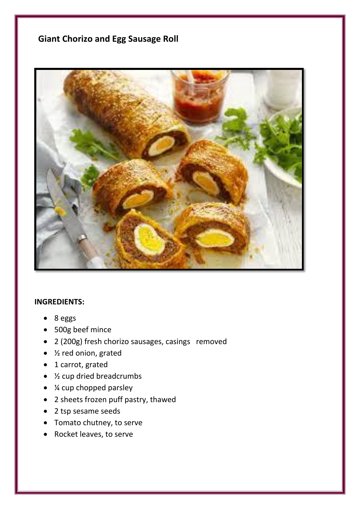## **Giant Chorizo and Egg Sausage Roll**



## **INGREDIENTS:**

- 8 eggs
- 500g beef mince
- 2 (200g) fresh chorizo sausages, casings removed
- ½ red onion, grated
- 1 carrot, grated
- ½ cup dried breadcrumbs
- *X* cup chopped parsley
- 2 sheets frozen puff pastry, thawed
- 2 tsp sesame seeds
- Tomato chutney, to serve
- Rocket leaves, to serve